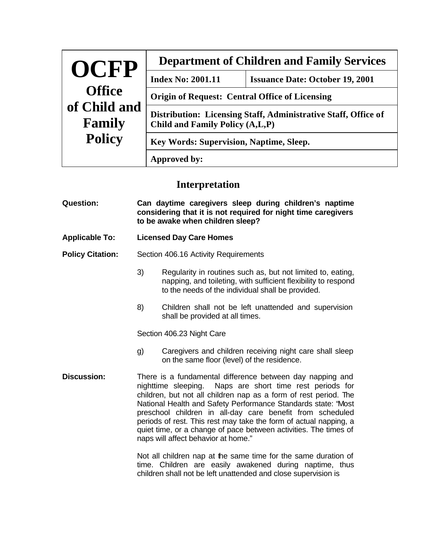| OCFP                                    | <b>Department of Children and Family Services</b>                                                 |                                        |  |
|-----------------------------------------|---------------------------------------------------------------------------------------------------|----------------------------------------|--|
| <b>Office</b><br>of Child and<br>Family | <b>Index No: 2001.11</b>                                                                          | <b>Issuance Date: October 19, 2001</b> |  |
|                                         | <b>Origin of Request: Central Office of Licensing</b>                                             |                                        |  |
|                                         | Distribution: Licensing Staff, Administrative Staff, Office of<br>Child and Family Policy (A,L,P) |                                        |  |
| <b>Policy</b>                           | Key Words: Supervision, Naptime, Sleep.                                                           |                                        |  |
|                                         | Approved by:                                                                                      |                                        |  |

## **Interpretation**

| <b>Question:</b>        | Can daytime caregivers sleep during children's naptime<br>considering that it is not required for night time caregivers<br>to be awake when children sleep?                                                                                                                                                                                                                                                                                                                                                                                                               |                                                                                                                                                                                    |
|-------------------------|---------------------------------------------------------------------------------------------------------------------------------------------------------------------------------------------------------------------------------------------------------------------------------------------------------------------------------------------------------------------------------------------------------------------------------------------------------------------------------------------------------------------------------------------------------------------------|------------------------------------------------------------------------------------------------------------------------------------------------------------------------------------|
| <b>Applicable To:</b>   | <b>Licensed Day Care Homes</b>                                                                                                                                                                                                                                                                                                                                                                                                                                                                                                                                            |                                                                                                                                                                                    |
| <b>Policy Citation:</b> | Section 406.16 Activity Requirements                                                                                                                                                                                                                                                                                                                                                                                                                                                                                                                                      |                                                                                                                                                                                    |
|                         | 3)                                                                                                                                                                                                                                                                                                                                                                                                                                                                                                                                                                        | Regularity in routines such as, but not limited to, eating,<br>napping, and toileting, with sufficient flexibility to respond<br>to the needs of the individual shall be provided. |
|                         | 8)                                                                                                                                                                                                                                                                                                                                                                                                                                                                                                                                                                        | Children shall not be left unattended and supervision<br>shall be provided at all times.                                                                                           |
|                         | Section 406.23 Night Care                                                                                                                                                                                                                                                                                                                                                                                                                                                                                                                                                 |                                                                                                                                                                                    |
|                         | g)                                                                                                                                                                                                                                                                                                                                                                                                                                                                                                                                                                        | Caregivers and children receiving night care shall sleep<br>on the same floor (level) of the residence.                                                                            |
| <b>Discussion:</b>      | There is a fundamental difference between day napping and<br>nighttime sleeping. Naps are short time rest periods for<br>children, but not all children nap as a form of rest period. The<br>National Health and Safety Performance Standards state: "Most<br>preschool children in all-day care benefit from scheduled<br>periods of rest. This rest may take the form of actual napping, a<br>quiet time, or a change of pace between activities. The times of<br>naps will affect behavior at home."<br>Not all children nap at the same time for the same duration of |                                                                                                                                                                                    |
|                         |                                                                                                                                                                                                                                                                                                                                                                                                                                                                                                                                                                           |                                                                                                                                                                                    |

time. Children are easily awakened during naptime, thus children shall not be left unattended and close supervision is